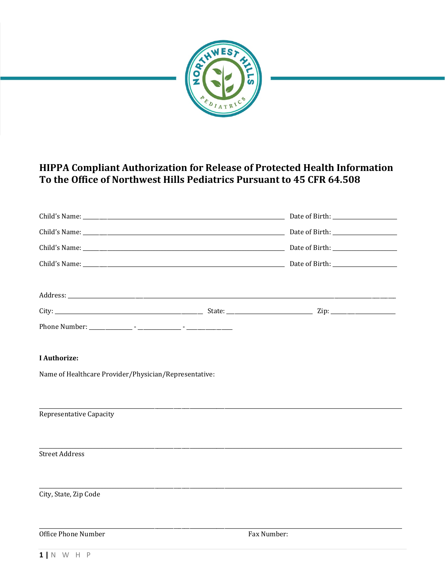

# HIPPA Compliant Authorization for Release of Protected Health Information To the Office of Northwest Hills Pediatrics Pursuant to 45 CFR 64.508

| Phone Number: |  |  |
|---------------|--|--|

## **I** Authorize:

Name of Healthcare Provider/Physician/Representative:

Representative Capacity

**Street Address** 

City, State, Zip Code

Office Phone Number